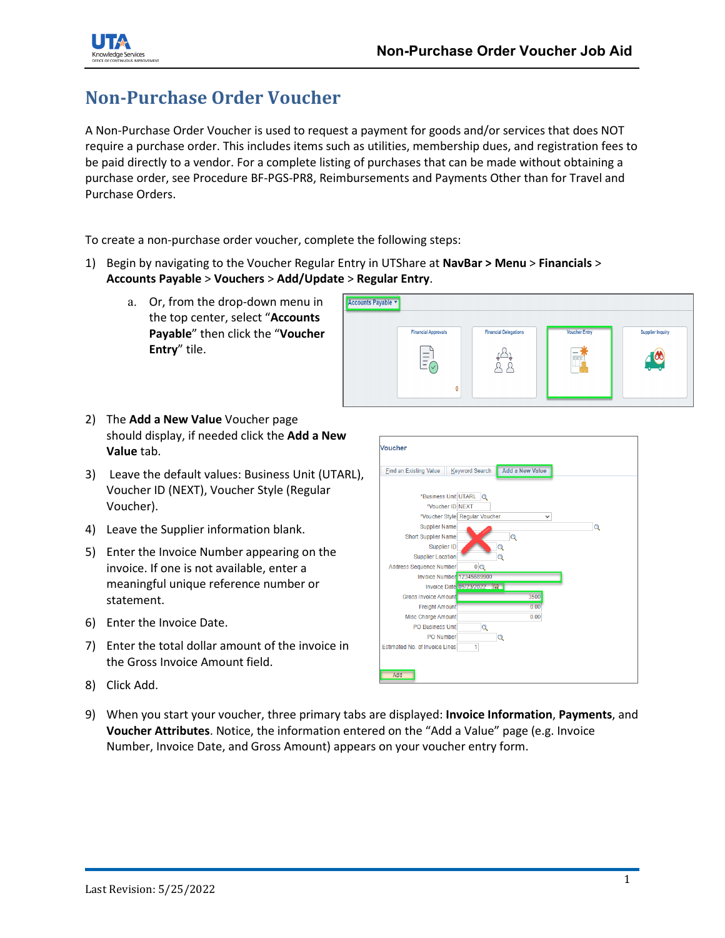

## **Non-Purchase Order Voucher**

A Non-Purchase Order Voucher is used to request a payment for goods and/or services that does NOT require a purchase order. This includes items such as utilities, membership dues, and registration fees to be paid directly to a vendor. For a complete listing of purchases that can be made without obtaining a purchase order, see Procedure BF-PGS-PR8, Reimbursements and Payments Other than for Travel and Purchase Orders.

To create a non-purchase order voucher, complete the following steps:

- 1) Begin by navigating to the Voucher Regular Entry in UTShare at **NavBar > Menu** > **Financials** > **Accounts Payable** > **Vouchers** > **Add/Update** > **Regular Entry**.
	- a. Or, from the drop-down menu in the top center, select "**Accounts Payable**" then click the "**Voucher Entry**" tile.



- 2) The **Add a New Value** Voucher page should display, if needed click the **Add a New Value** tab.
- 3) Leave the default values: Business Unit (UTARL), Voucher ID (NEXT), Voucher Style (Regular Voucher).
- 4) Leave the Supplier information blank.
- 5) Enter the Invoice Number appearing on the invoice. If one is not available, enter a meaningful unique reference number or statement.
- 6) Enter the Invoice Date.
- 7) Enter the total dollar amount of the invoice in the Gross Invoice Amount field.
- 8) Click Add.
- Voucher Eind an Existing Value | Keyword Search | Add a New Value \*Business Unit UTARL \*Voucher ID NEXT \*Voucher Style Regular Vouche  $\overline{\phantom{0}}$ Supplier Name  $\circ$ **Short Supplier Name**  $\overline{\mathsf{Q}}$ Supplier ID **Supplier Locatio**  $\overline{\mathbf{Q}}$ Address Sequence Numbe **Invoice Number Invoice Date** Gross Invoice Amour  $2500$ **Freight Amou** Misc Charge Amount  $0.00$ PO Business Unit Q PO Number  $\circ$ Estimated No. of Invoice Lines
- 9) When you start your voucher, three primary tabs are displayed: **Invoice Information**, **Payments**, and **Voucher Attributes**. Notice, the information entered on the "Add a Value" page (e.g. Invoice Number, Invoice Date, and Gross Amount) appears on your voucher entry form.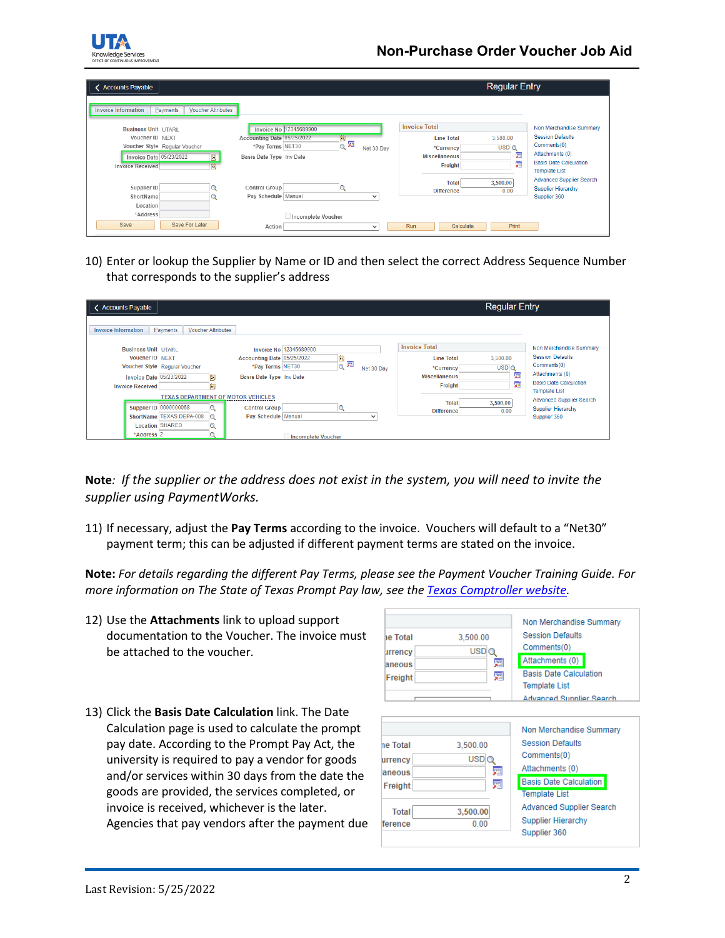

| <b>Accounts Payable</b>                                             |                                      |              |                      | <b>Regular Entry</b> |                                                       |
|---------------------------------------------------------------------|--------------------------------------|--------------|----------------------|----------------------|-------------------------------------------------------|
| <b>Voucher Attributes</b><br><b>Invoice Information</b><br>Payments |                                      |              |                      |                      |                                                       |
| <b>Business Unit UTARL</b>                                          | Invoice No 12345689900               |              | <b>Invoice Total</b> |                      | Non Merchandise Summary                               |
| Voucher ID NEXT                                                     | 同<br>Accounting Date 05/25/2022      |              | <b>Line Total</b>    | 3,500.00             | <b>Session Defaults</b>                               |
| Voucher Style Regular Voucher                                       | 頸<br>$\mathbf Q$<br>*Pay Terms NET30 | Net 30 Day   | *Currency            | USDQ                 | Comments(0)                                           |
| Invoice Date 05/23/2022<br>D.                                       | Basis Date Type Inv Date             |              | <b>Miscellaneous</b> | 骊                    | Attachments (0)                                       |
| 間<br><b>Invoice Received</b>                                        |                                      |              | Freight              | 廲                    | <b>Basis Date Calculation</b><br><b>Template List</b> |
|                                                                     |                                      |              | <b>Total</b>         | 3.500.00             | <b>Advanced Supplier Search</b>                       |
| Supplier ID                                                         | Control Group<br>$\mathcal{Q}$       |              | <b>Difference</b>    | 0.00                 | <b>Supplier Hierarchy</b>                             |
| ShortName                                                           | Pay Schedule Manual                  | $\checkmark$ |                      |                      | Supplier 360                                          |
| Location                                                            |                                      |              |                      |                      |                                                       |
| *Address                                                            | Incomplete Voucher                   |              |                      |                      |                                                       |
| Save<br>Save For Later                                              | Action                               | $\checkmark$ | Run<br>Calculate     | Print                |                                                       |

10) Enter or lookup the Supplier by Name or ID and then select the correct Address Sequence Number that corresponds to the supplier's address

| <b>Accounts Payable</b>                                                                                                                                                                          |                                                                                                      | Regular Entry                                                                                                                            |                                                                                                                    |
|--------------------------------------------------------------------------------------------------------------------------------------------------------------------------------------------------|------------------------------------------------------------------------------------------------------|------------------------------------------------------------------------------------------------------------------------------------------|--------------------------------------------------------------------------------------------------------------------|
| Payments<br><b>Voucher Attributes</b><br><b>Invoice Information</b>                                                                                                                              |                                                                                                      |                                                                                                                                          |                                                                                                                    |
| <b>Business Unit UTARL</b>                                                                                                                                                                       | Invoice No 12345689900                                                                               | <b>Invoice Total</b>                                                                                                                     | Non Merchandise Summary                                                                                            |
| <b>Voucher ID NEXT</b><br>Voucher Style Regular Voucher<br><b>Invoice Date 05/23/2022</b><br>BU<br>BU<br><b>Invoice Received</b>                                                                 | Þ<br>Accounting Date 05/25/2022<br>m.<br>*Pay Terms NET30<br>Net 30 Day<br>Basis Date Type Inv Date  | <b>Line Total</b><br>3,500.00<br>USD <sub>Q</sub><br>*Currency<br><b><i><u>rest</u></i></b><br><b>Miscellaneous</b><br>ж<br>廲<br>Freight | <b>Session Defaults</b><br>Comments(0)<br>Attachments (0)<br><b>Basis Date Calculation</b><br><b>Template List</b> |
| <b>TEXAS DEPARTMENT OF MOTOR VEHICLES</b><br><b>Supplier ID 0000000068</b><br>$\overline{Q}$<br>ShortName TEXAS DEPA-008<br>Q<br><b>Location SHARED</b><br>$\mathbb{Q}$<br>*Address <sub>2</sub> | <b>Q</b><br><b>Control Group</b><br>Pay Schedule Manual<br>$\checkmark$<br><b>Incomplete Voucher</b> | 3,500.00<br><b>Total</b><br><b>Difference</b><br>0.00                                                                                    | <b>Advanced Supplier Search</b><br><b>Supplier Hierarchy</b><br>Supplier 360                                       |

**Note***: If the supplier or the address does not exist in the system, you will need to invite the supplier using PaymentWorks.*

11) If necessary, adjust the **Pay Terms** according to the invoice. Vouchers will default to a "Net30" payment term; this can be adjusted if different payment terms are stated on the invoice.

**Note:** *For details regarding the different Pay Terms, please see the Payment Voucher Training Guide. For more information on The State of Texas Prompt Pay law, see th[e Texas Comptroller website.](https://fmx.cpa.texas.gov/fm/pubs/purchase/prompt_pay/index.php)*

- 12) Use the **Attachments** link to upload support documentation to the Voucher. The invoice must be attached to the voucher.
- 13) Click the **Basis Date Calculation** link. The Date Calculation page is used to calculate the prompt pay date. According to the Prompt Pay Act, the university is required to pay a vendor for goods and/or services within 30 days from the date the goods are provided, the services completed, or invoice is received, whichever is the later. Agencies that pay vendors after the payment due



|              |                  | Non Merchandise Summary         |
|--------------|------------------|---------------------------------|
| ne Total     | 3,500.00         | <b>Session Defaults</b>         |
| urrencv      | USD <sub>C</sub> | Comments(0)                     |
| aneous       | 圜                | Attachments (0)                 |
| Freight      | 圜                | <b>Basis Date Calculation</b>   |
|              |                  | <b>Template List</b>            |
| <b>Total</b> | 3.500.00         | <b>Advanced Supplier Search</b> |
| ference      | 0.00             | <b>Supplier Hierarchy</b>       |
|              |                  | Supplier 360                    |
|              |                  |                                 |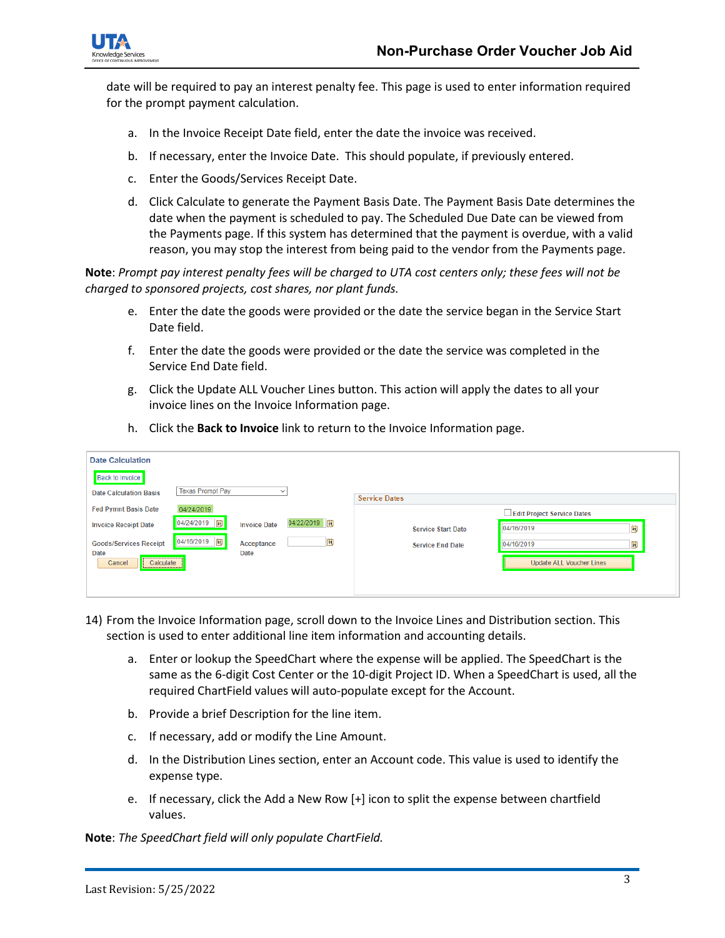

date will be required to pay an interest penalty fee. This page is used to enter information required for the prompt payment calculation.

- a. In the Invoice Receipt Date field, enter the date the invoice was received.
- b. If necessary, enter the Invoice Date. This should populate, if previously entered.
- c. Enter the Goods/Services Receipt Date.
- d. Click Calculate to generate the Payment Basis Date. The Payment Basis Date determines the date when the payment is scheduled to pay. The Scheduled Due Date can be viewed from the Payments page. If this system has determined that the payment is overdue, with a valid reason, you may stop the interest from being paid to the vendor from the Payments page.

**Note**: *Prompt pay interest penalty fees will be charged to UTA cost centers only; these fees will not be charged to sponsored projects, cost shares, nor plant funds.*

- e. Enter the date the goods were provided or the date the service began in the Service Start Date field.
- f. Enter the date the goods were provided or the date the service was completed in the Service End Date field.
- g. Click the Update ALL Voucher Lines button. This action will apply the dates to all your invoice lines on the Invoice Information page.

|  |  | h. Click the Back to Invoice link to return to the Invoice Information page. |
|--|--|------------------------------------------------------------------------------|
|--|--|------------------------------------------------------------------------------|

| <b>Date Calculation</b>                                                           |                                               |
|-----------------------------------------------------------------------------------|-----------------------------------------------|
| <b>Back to Invoice</b>                                                            |                                               |
| <b>Texas Prompt Pay</b><br><b>Date Calculation Basis</b>                          | <b>Service Dates</b>                          |
| <b>Fed Pymnt Basis Date</b><br>04/24/2019                                         | Edit Project Service Dates                    |
| 04/22/2019<br>04/24/2019  聞<br><b>Invoice Date</b><br><b>Invoice Receipt Date</b> | BŲ<br>04/16/2019<br><b>Service Start Date</b> |
| 04/16/2019 时<br>E<br><b>Goods/Services Receipt</b><br>Acceptance                  | 04/16/2019<br>Þij<br><b>Service End Date</b>  |
| <b>Date</b><br><b>Date</b><br>Cancel<br>Calculate                                 | Update ALL Voucher Lines                      |
|                                                                                   |                                               |
|                                                                                   |                                               |

- 14) From the Invoice Information page, scroll down to the Invoice Lines and Distribution section. This section is used to enter additional line item information and accounting details.
	- a. Enter or lookup the SpeedChart where the expense will be applied. The SpeedChart is the same as the 6-digit Cost Center or the 10-digit Project ID. When a SpeedChart is used, all the required ChartField values will auto-populate except for the Account.
	- b. Provide a brief Description for the line item.
	- c. If necessary, add or modify the Line Amount.
	- d. In the Distribution Lines section, enter an Account code. This value is used to identify the expense type.
	- e. If necessary, click the Add a New Row [+] icon to split the expense between chartfield values.

**Note**: *The SpeedChart field will only populate ChartField.*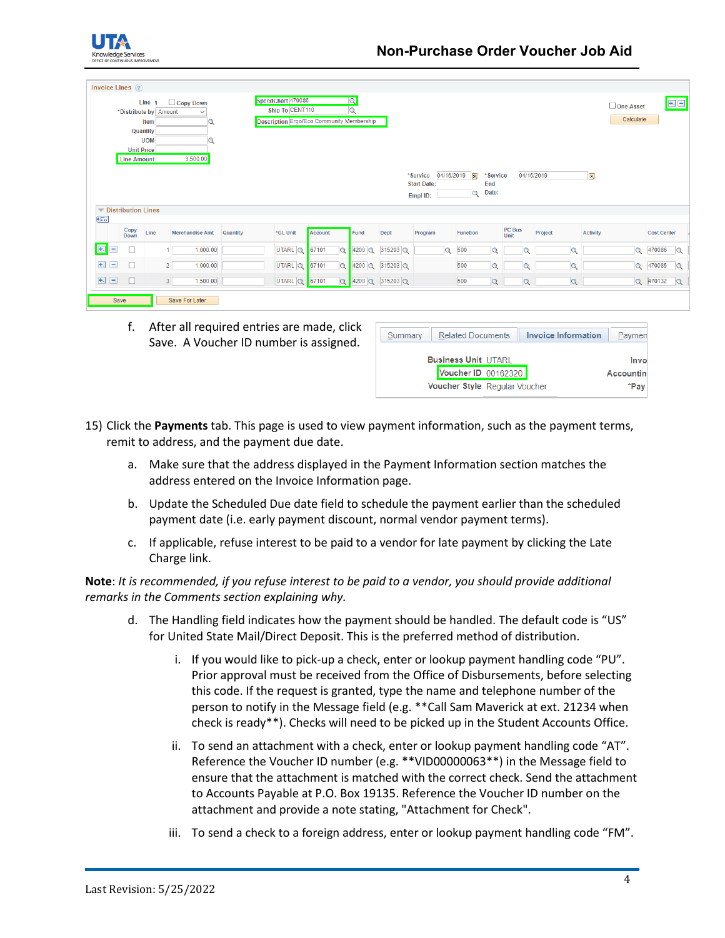

|                         | Invoice Lines 2                         |                                                                          |                                              |          |                                                                                   |         |                |                     |                 |                                |          |                          |          |                |            |                |                 |                               |                    |              |
|-------------------------|-----------------------------------------|--------------------------------------------------------------------------|----------------------------------------------|----------|-----------------------------------------------------------------------------------|---------|----------------|---------------------|-----------------|--------------------------------|----------|--------------------------|----------|----------------|------------|----------------|-----------------|-------------------------------|--------------------|--------------|
|                         | <b>Unit Price</b><br><b>Line Amount</b> | Line 1<br>*Distribute by Amount<br>Item<br><b>Quantity</b><br><b>UOM</b> | $\Box$ Copy Down<br>$\checkmark$<br>3,500.00 |          | SpeedChart 470086<br>Ship To CENT110<br>Description Ergo/Eco Community Membership |         |                | Q<br>$\overline{Q}$ |                 | *Service                       |          | 04/16/2019   同           | *Service |                | 04/16/2019 |                | <b>B</b>        | $\Box$ One Asset<br>Calculate |                    |              |
|                         |                                         |                                                                          |                                              |          |                                                                                   |         |                |                     |                 | <b>Start Date:</b><br>Empl ID: |          | End<br>Date:<br>$\alpha$ |          |                |            |                |                 |                               |                    |              |
|                         | $\blacktriangledown$ Distribution Lines |                                                                          |                                              |          |                                                                                   |         |                |                     |                 |                                |          |                          |          |                |            |                |                 |                               |                    |              |
| <b>CEE</b>              |                                         |                                                                          |                                              |          |                                                                                   |         |                |                     |                 |                                |          |                          |          |                |            |                |                 |                               |                    |              |
|                         | Copy<br>Down                            | Line                                                                     | <b>Merchandise Amt</b>                       | Quantity | *GL Unit                                                                          | Account |                | Fund                | Dept            | Program                        |          | <b>Function</b>          |          | PC Bus<br>Unit | Project    |                | <b>Activity</b> |                               | <b>Cost Center</b> |              |
| E.<br>$\qquad \qquad -$ | с                                       |                                                                          | 1,000.00                                     |          | UTARL Q                                                                           | 67101   | $\overline{a}$ | 4200 Q              | 315203 Q        |                                | $\alpha$ | 500                      | Q        | Q              |            | Q              |                 | Q                             | 470086             | $\alpha$     |
| $+$<br>Ξ                | □                                       |                                                                          | 1,000.00<br>2 <sup>1</sup>                   |          | UTARL Q                                                                           | 67101   | $\Omega$       | $4200$ $Q$          | $315203$ Q      |                                |          | 500                      | $\alpha$ | $\overline{a}$ |            | $\Omega$       |                 | $\mathbf Q$                   | 470085             | $\mathbf{Q}$ |
| $+$<br>$\equiv$         | $\Box$                                  |                                                                          | 3 <sup>1</sup><br>1,500.00                   |          | UTARL Q                                                                           | 67101   | $\alpha$       |                     | 4200 Q 315203 Q |                                |          | 500                      | $\alpha$ | $\alpha$       |            | $\overline{Q}$ |                 |                               | Q 470132           | $\mathbf{Q}$ |
|                         |                                         |                                                                          |                                              |          |                                                                                   |         |                |                     |                 |                                |          |                          |          |                |            |                |                 |                               |                    |              |

f. After all required entries are made, click Save. A Voucher ID number is assigned.

| Summary | <b>Invoice Information</b><br><b>Related Documents</b> | Paymen     |
|---------|--------------------------------------------------------|------------|
|         | <b>Business Unit UTARL</b>                             | Invo       |
|         | Voucher ID 00162320                                    | Accountine |
|         | Voucher Style Regular Voucher                          | *Pav       |
|         |                                                        |            |

- 15) Click the **Payments** tab. This page is used to view payment information, such as the payment terms, remit to address, and the payment due date.
	- a. Make sure that the address displayed in the Payment Information section matches the address entered on the Invoice Information page.
	- b. Update the Scheduled Due date field to schedule the payment earlier than the scheduled payment date (i.e. early payment discount, normal vendor payment terms).
	- c. If applicable, refuse interest to be paid to a vendor for late payment by clicking the Late Charge link.

## **Note**: *It is recommended, if you refuse interest to be paid to a vendor, you should provide additional remarks in the Comments section explaining why.*

- d. The Handling field indicates how the payment should be handled. The default code is "US" for United State Mail/Direct Deposit. This is the preferred method of distribution.
	- i. If you would like to pick-up a check, enter or lookup payment handling code "PU". Prior approval must be received from the Office of Disbursements, before selecting this code. If the request is granted, type the name and telephone number of the person to notify in the Message field (e.g. \*\*Call Sam Maverick at ext. 21234 when check is ready\*\*). Checks will need to be picked up in the Student Accounts Office.
	- ii. To send an attachment with a check, enter or lookup payment handling code "AT". Reference the Voucher ID number (e.g. \*\*VID00000063\*\*) in the Message field to ensure that the attachment is matched with the correct check. Send the attachment to Accounts Payable at P.O. Box 19135. Reference the Voucher ID number on the attachment and provide a note stating, "Attachment for Check".
	- iii. To send a check to a foreign address, enter or lookup payment handling code "FM".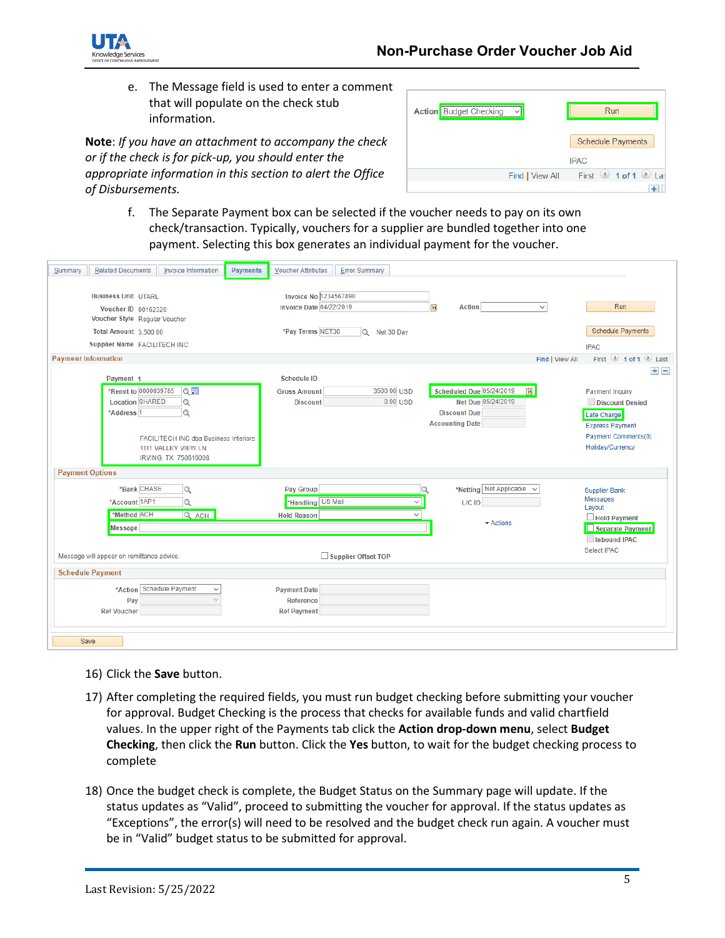

e. The Message field is used to enter a comment that will populate on the check stub information.

**Note**: *If you have an attachment to accompany the check or if the check is for pick-up, you should enter the appropriate information in this section to alert the Office of Disbursements.*

| <b>Action</b> Budget Checking | Run                      |
|-------------------------------|--------------------------|
|                               | <b>Schedule Payments</b> |
|                               | <b>IPAC</b>              |
| Find   View All               | First 1 of 1<br>Las      |
|                               |                          |

f. The Separate Payment box can be selected if the voucher needs to pay on its own check/transaction. Typically, vouchers for a supplier are bundled together into one payment. Selecting this box generates an individual payment for the voucher.

| <b>Related Documents</b><br>Invoice Information<br>Summary | <b>Error Summary</b><br><b>Payments</b><br><b>Voucher Attributes</b>   |                               |
|------------------------------------------------------------|------------------------------------------------------------------------|-------------------------------|
|                                                            |                                                                        |                               |
| <b>Business Unit UTARL</b>                                 | Invoice No 1234567890                                                  |                               |
| Voucher ID 00162320                                        | <b>Invoice Date 04/22/2019</b><br><b>Action</b><br>$\checkmark$<br>BL  | Run                           |
| Voucher Style Regular Voucher                              |                                                                        |                               |
| Total Amount 3,500.00                                      | *Pay Terms NET30<br>Q Net 30 Day                                       | <b>Schedule Payments</b>      |
| Supplier Name FACILITECH INC                               |                                                                        | <b>IPAC</b>                   |
| <b>Payment Information</b>                                 | Find   View All                                                        | First 1 of 1 2 Last           |
|                                                            |                                                                        | $+$ $-$                       |
| Payment 1                                                  | <b>Schedule ID</b>                                                     |                               |
| *Remit to 0000039785<br>Q圓                                 | 3500.00 USD<br>Scheduled Due 05/24/2019<br>[st]<br><b>Gross Amount</b> | Payment Inquiry               |
| <b>Location SHARED</b><br>$\alpha$                         | $0.00$ USD<br>Net Due 05/24/2019<br><b>Discount</b>                    | Discount Denied               |
| *Address <sub>1</sub><br>Q                                 | <b>Discount Due</b><br><b>Accounting Date</b>                          | Late Charge                   |
|                                                            |                                                                        | <b>Express Payment</b>        |
| <b>FACILITECH INC dba Business Interiors</b>               |                                                                        | Payment Comments(0)           |
| 1111 VALLEY VIEW LN                                        |                                                                        | <b>Holiday/Currency</b>       |
| IRVING, TX 750616008                                       |                                                                        |                               |
| <b>Payment Options</b>                                     |                                                                        |                               |
| *Bank CHASE<br>Q                                           | Pay Group<br>*Netting Not Applicable                                   | <b>Supplier Bank</b>          |
| *Account 1AP1<br>Q                                         | *Handling US Mail<br>L/C ID<br>$\checkmark$                            | Messages                      |
| *Method ACH<br>Q ACH                                       | <b>Hold Reason</b><br>$\sim$                                           | Layout<br>$\Box$ Hold Payment |
| Message                                                    | $\div$ Actions                                                         | $\Box$ Separate Payment       |
|                                                            |                                                                        | Inbound IPAC                  |
|                                                            |                                                                        | Select IPAC                   |
| Message will appear on remittance advice.                  | Supplier Offset TOP                                                    |                               |
| <b>Schedule Payment</b>                                    |                                                                        |                               |
| *Action Schedule Payment<br>$\checkmark$                   | <b>Payment Date</b>                                                    |                               |
| Pay                                                        | Reference                                                              |                               |
| <b>Ref Voucher</b>                                         | <b>Ref Payment</b>                                                     |                               |
|                                                            |                                                                        |                               |
| <b>Save</b>                                                |                                                                        |                               |
|                                                            |                                                                        |                               |

- 16) Click the **Save** button.
- 17) After completing the required fields, you must run budget checking before submitting your voucher for approval. Budget Checking is the process that checks for available funds and valid chartfield values. In the upper right of the Payments tab click the **Action drop-down menu**, select **Budget Checking**, then click the **Run** button. Click the **Yes** button, to wait for the budget checking process to complete
- 18) Once the budget check is complete, the Budget Status on the Summary page will update. If the status updates as "Valid", proceed to submitting the voucher for approval. If the status updates as "Exceptions", the error(s) will need to be resolved and the budget check run again. A voucher must be in "Valid" budget status to be submitted for approval.